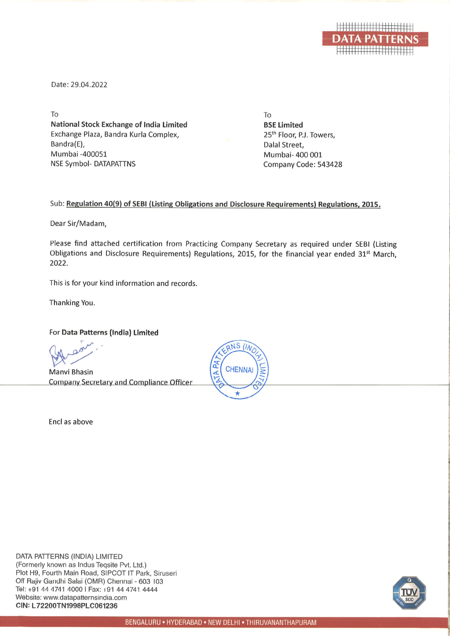

Date: 29.04.2022

To **National Stock Exchange of India Limited** Exchange Plaza, Bandra Kurla Complex, Bandra(E), Mumbai -400051 **NSE Symbol- DATAPATTNS** 

To **BSE Limited** 25<sup>th</sup> Floor, P.J. Towers, Dalal Street. Mumbai- 400 001 Company Code: 543428

## Sub: Regulation 40(9) of SEBI (Listing Obligations and Disclosure Requirements) Regulations, 2015.

Dear Sir/Madam,

Please find attached certification from Practicing Company Secretary as required under SEBI (Listing Obligations and Disclosure Requirements) Regulations, 2015, for the financial year ended 31st March. 2022.

This is for your kind information and records.

Thanking You.

## For Data Patterns (India) Limited

Manvi Bhasin Company Secretary and Compliance Officer

Encl as above



DATA PATTERNS (INDIA) LIMITED (Formerly known as Indus Teqsite Pvt. Ltd.) Plot H9, Fourth Main Road, SIPCOT IT Park, Siruseri Off Rajiv Gandhi Salai (OMR) Chennai - 603 103 Tel: +91 44 4741 4000 | Fax: +91 44 4741 4444 Website: www.datapatternsindia.com CIN: L72200TN1998PLC061236